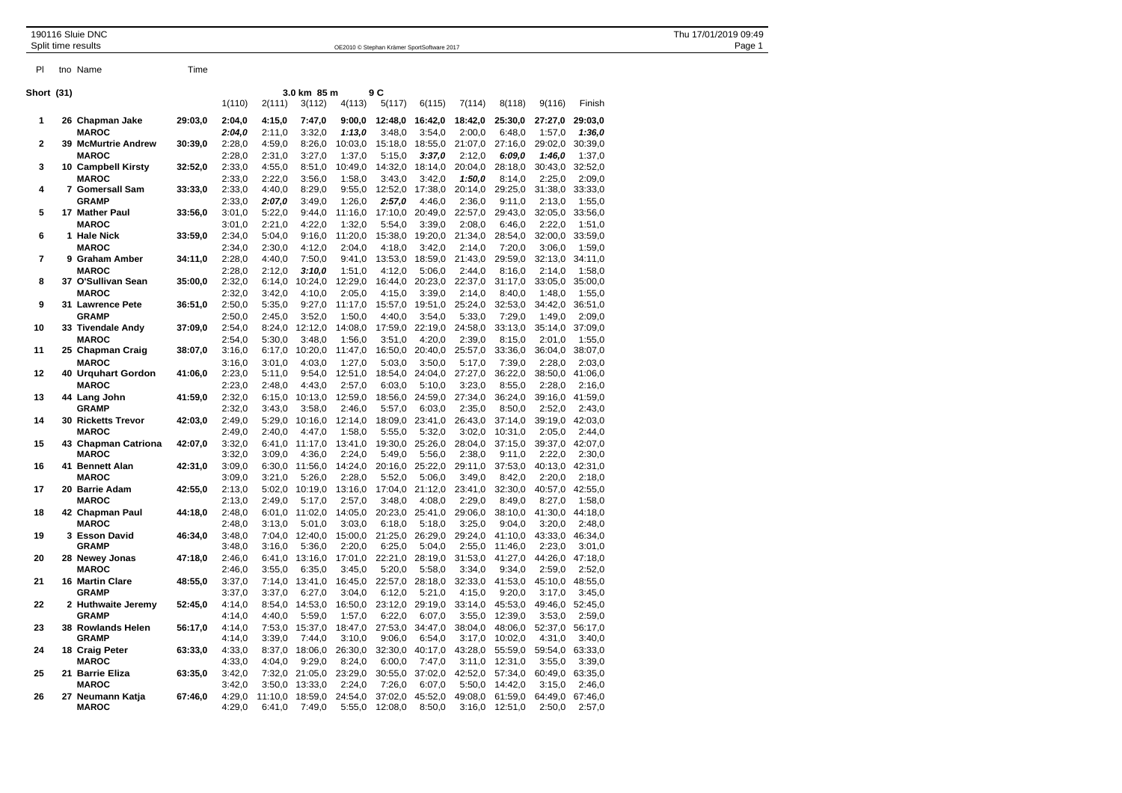Pl tno Name Time

190116 Sluie DNC<br>1909 Stephan Krämer SportSoftware 2017 Page 1 District Page 1 District Page 1 District Page 1 OE2010 © Stephan Krämer SportSoftware 2017

| Short (31)     | 3.0 km 85 m<br>9 C         |         |        |         |         |         |         |         |         |         |                 |         |
|----------------|----------------------------|---------|--------|---------|---------|---------|---------|---------|---------|---------|-----------------|---------|
|                |                            |         | 1(110) | 2(111)  | 3(112)  | 4(113)  | 5(117)  | 6(115)  | 7(114)  | 8(118)  | 9(116)          | Finish  |
| 1              | 26 Chapman Jake            | 29:03,0 | 2:04,0 | 4:15,0  | 7:47,0  | 9:00,0  | 12:48,0 | 16:42,0 | 18:42,0 | 25:30,0 | 27:27,0         | 29:03.0 |
|                | <b>MAROC</b>               |         | 2:04.0 | 2:11.0  | 3:32.0  | 1:13,0  | 3:48,0  | 3:54,0  | 2:00.0  | 6:48,0  | 1:57,0          | 1:36.0  |
| $\mathbf{2}$   | <b>39 McMurtrie Andrew</b> | 30:39,0 | 2:28,0 | 4:59,0  | 8:26,0  | 10:03,0 | 15:18,0 | 18:55,0 | 21:07,0 | 27:16,0 | 29:02,0         | 30:39,0 |
|                | <b>MAROC</b>               |         | 2:28,0 | 2:31,0  | 3:27,0  | 1:37,0  | 5:15,0  | 3:37,0  | 2:12,0  | 6:09.0  | 1:46,0          | 1:37,0  |
| 3              | 10 Campbell Kirsty         | 32:52,0 | 2:33,0 | 4:55,0  | 8:51,0  | 10:49,0 | 14:32,0 | 18:14,0 | 20:04,0 | 28:18,0 | 30:43,0 32:52,0 |         |
|                | <b>MAROC</b>               |         | 2:33,0 | 2:22,0  | 3:56,0  | 1:58,0  | 3:43,0  | 3:42,0  | 1:50,0  | 8:14,0  | 2:25,0          | 2:09,0  |
| 4              | 7 Gomersall Sam            | 33:33,0 | 2:33,0 | 4:40,0  | 8:29,0  | 9:55,0  | 12:52,0 | 17:38,0 | 20:14,0 | 29:25,0 | 31:38,0         | 33:33,0 |
|                | <b>GRAMP</b>               |         | 2:33,0 | 2:07,0  | 3:49,0  | 1:26,0  | 2:57,0  | 4:46,0  | 2:36,0  | 9:11,0  | 2:13,0          | 1:55,0  |
| 5              | 17 Mather Paul             | 33:56,0 | 3:01,0 | 5:22,0  | 9:44.0  | 11:16,0 | 17:10,0 | 20:49,0 | 22:57,0 | 29:43,0 | 32:05,0         | 33:56,0 |
|                | <b>MAROC</b>               |         | 3:01,0 | 2:21,0  | 4:22,0  | 1:32,0  | 5:54,0  | 3:39,0  | 2:08,0  | 6:46,0  | 2:22,0          | 1:51,0  |
| 6              | 1 Hale Nick                | 33:59.0 | 2:34,0 | 5:04,0  | 9:16,0  | 11:20,0 | 15:38,0 | 19:20,0 | 21:34,0 | 28:54,0 | 32:00,0         | 33:59,0 |
|                | <b>MAROC</b>               |         | 2:34,0 | 2:30,0  | 4:12.0  | 2:04.0  | 4:18,0  | 3:42,0  | 2:14.0  | 7:20.0  | 3:06.0          | 1:59.0  |
| $\overline{7}$ | 9 Graham Amber             | 34:11,0 | 2:28,0 | 4:40,0  | 7:50,0  | 9:41,0  | 13:53,0 | 18:59,0 | 21:43,0 | 29:59,0 | 32:13,0 34:11,0 |         |
|                | <b>MAROC</b>               |         | 2:28,0 | 2:12,0  | 3:10,0  | 1:51,0  | 4:12,0  | 5:06,0  | 2:44,0  | 8:16,0  | 2:14,0          | 1:58,0  |
| 8              | 37 O'Sullivan Sean         | 35:00,0 | 2:32,0 | 6:14,0  | 10:24,0 | 12:29,0 | 16:44,0 | 20:23,0 | 22:37,0 | 31:17,0 | 33:05,0         | 35:00,0 |
|                | <b>MAROC</b>               |         | 2:32,0 | 3:42,0  | 4:10,0  | 2:05,0  | 4:15,0  | 3:39,0  | 2:14,0  | 8:40,0  | 1:48,0          | 1:55,0  |
| 9              | 31 Lawrence Pete           | 36:51,0 | 2:50,0 | 5:35,0  | 9:27,0  | 11:17,0 | 15:57,0 | 19:51,0 | 25:24,0 | 32:53,0 | 34:42,0         | 36:51,0 |
|                | <b>GRAMP</b>               |         | 2:50,0 | 2:45,0  | 3:52,0  | 1:50,0  | 4:40,0  | 3:54,0  | 5:33,0  | 7:29,0  | 1:49,0          | 2:09,0  |
| 10             | 33 Tivendale Andy          | 37:09,0 | 2:54,0 | 8:24,0  | 12:12,0 | 14:08,0 | 17:59,0 | 22:19,0 | 24:58,0 | 33:13,0 | 35:14,0         | 37:09,0 |
|                | <b>MAROC</b>               |         | 2:54.0 | 5:30,0  | 3:48.0  | 1:56.0  | 3:51,0  | 4:20.0  | 2:39,0  | 8:15,0  | 2:01.0          | 1:55.0  |
| 11             | 25 Chapman Craig           | 38:07,0 | 3:16,0 | 6:17,0  | 10:20,0 | 11:47,0 | 16:50,0 | 20:40,0 | 25:57,0 | 33:36,0 | 36:04,0         | 38:07,0 |
|                | <b>MAROC</b>               |         | 3:16,0 | 3:01,0  | 4:03,0  | 1:27,0  | 5:03,0  | 3:50,0  | 5:17,0  | 7:39,0  | 2:28,0          | 2:03,0  |
| 12             | 40 Urquhart Gordon         | 41:06.0 | 2:23,0 | 5:11,0  | 9:54,0  | 12:51,0 | 18:54,0 | 24:04,0 | 27:27,0 | 36:22,0 | 38:50,0         | 41:06,0 |
|                | <b>MAROC</b>               |         | 2:23,0 | 2:48,0  | 4:43,0  | 2:57,0  | 6:03,0  | 5:10,0  | 3:23,0  | 8:55,0  | 2:28,0          | 2:16,0  |
| 13             | 44 Lang John               | 41:59.0 | 2:32,0 | 6:15,0  | 10:13,0 | 12:59,0 | 18:56,0 | 24:59,0 | 27:34,0 | 36:24,0 | 39:16,0         | 41:59,0 |
|                | <b>GRAMP</b>               |         | 2:32,0 | 3:43,0  | 3:58,0  | 2:46,0  | 5:57,0  | 6:03,0  | 2:35,0  | 8:50,0  | 2:52,0          | 2:43,0  |
| 14             | <b>30 Ricketts Trevor</b>  | 42:03,0 | 2:49.0 | 5:29,0  | 10:16,0 | 12:14,0 | 18:09,0 | 23:41,0 | 26:43,0 | 37:14,0 | 39:19,0         | 42:03.0 |
|                | <b>MAROC</b>               |         | 2:49,0 | 2:40,0  | 4:47,0  | 1:58,0  | 5:55,0  | 5:32,0  | 3:02,0  | 10:31,0 | 2:05,0          | 2:44,0  |
| 15             | 43 Chapman Catriona        | 42:07.0 | 3:32.0 | 6:41.0  | 11:17.0 | 13:41.0 | 19:30.0 | 25:26.0 | 28:04.0 | 37:15.0 | 39:37.0         | 42:07.0 |
|                | <b>MAROC</b>               |         | 3:32,0 | 3:09,0  | 4:36,0  | 2:24,0  | 5:49,0  | 5:56,0  | 2:38,0  | 9:11,0  | 2:22.0          | 2:30,0  |
| 16             | 41 Bennett Alan            | 42:31,0 | 3:09,0 | 6:30,0  | 11:56,0 | 14:24,0 | 20:16,0 | 25:22,0 | 29:11,0 | 37:53,0 | 40:13,0         | 42:31,0 |
|                | <b>MAROC</b>               |         | 3:09,0 | 3:21,0  | 5:26,0  | 2:28,0  | 5:52,0  | 5:06,0  | 3:49,0  | 8:42,0  | 2:20,0          | 2:18,0  |
| 17             | 20 Barrie Adam             | 42:55,0 | 2:13,0 | 5:02,0  | 10:19,0 | 13:16,0 | 17:04,0 | 21:12,0 | 23:41,0 | 32:30,0 | 40:57,0         | 42:55,0 |
|                | <b>MAROC</b>               |         | 2:13,0 | 2:49,0  | 5:17,0  | 2:57,0  | 3:48,0  | 4:08,0  | 2:29.0  | 8:49,0  | 8:27,0          | 1:58,0  |
| 18             | 42 Chapman Paul            | 44:18,0 | 2:48,0 | 6:01,0  | 11:02,0 | 14:05,0 | 20:23,0 | 25:41,0 | 29:06,0 | 38:10,0 | 41:30,0         | 44:18,0 |
|                | <b>MAROC</b>               |         | 2:48,0 | 3:13,0  | 5:01,0  | 3:03,0  | 6:18,0  | 5:18,0  | 3:25,0  | 9:04.0  | 3:20,0          | 2:48,0  |
| 19             | 3 Esson David              | 46:34,0 | 3:48,0 | 7:04,0  | 12:40,0 | 15:00,0 | 21:25.0 | 26:29,0 | 29:24,0 | 41:10,0 | 43:33,0         | 46:34,0 |
|                | <b>GRAMP</b>               |         | 3:48,0 | 3:16,0  | 5:36,0  | 2:20,0  | 6:25,0  | 5:04,0  | 2:55,0  | 11:46,0 | 2:23,0          | 3:01,0  |
| 20             | 28 Newey Jonas             | 47:18,0 | 2:46,0 | 6:41,0  | 13:16,0 | 17:01,0 | 22:21,0 | 28:19,0 | 31:53,0 | 41:27,0 | 44:26,0         | 47:18,0 |
|                | <b>MAROC</b>               |         | 2:46,0 | 3:55,0  | 6:35,0  | 3:45,0  | 5:20,0  | 5:58,0  | 3:34,0  | 9:34,0  | 2:59,0          | 2:52,0  |
| 21             | <b>16 Martin Clare</b>     | 48:55,0 | 3:37,0 | 7:14,0  | 13:41,0 | 16:45,0 | 22:57,0 | 28:18,0 | 32:33,0 | 41:53,0 | 45:10,0 48:55,0 |         |
|                | <b>GRAMP</b>               |         | 3:37,0 | 3:37,0  | 6:27,0  | 3:04,0  | 6:12,0  | 5:21,0  | 4:15,0  | 9:20,0  | 3:17,0          | 3:45,0  |
| 22             | 2 Huthwaite Jeremy         | 52:45,0 | 4:14,0 | 8:54,0  | 14:53,0 | 16:50,0 | 23:12,0 | 29:19,0 | 33:14,0 | 45:53,0 | 49:46,0 52:45,0 |         |
|                | <b>GRAMP</b>               |         | 4:14,0 | 4:40,0  | 5:59,0  | 1:57,0  | 6:22.0  | 6:07,0  | 3:55,0  | 12:39,0 | 3:53,0          | 2:59,0  |
| 23             | 38 Rowlands Helen          | 56:17,0 | 4:14,0 | 7:53,0  | 15:37,0 | 18:47,0 | 27:53,0 | 34:47,0 | 38:04,0 | 48:06,0 | 52:37,0         | 56:17,0 |
|                | <b>GRAMP</b>               |         | 4:14,0 | 3:39,0  | 7:44,0  | 3:10,0  | 9:06,0  | 6:54,0  | 3:17,0  | 10:02,0 | 4:31,0          | 3:40,0  |
| 24             | 18 Craig Peter             | 63:33,0 | 4:33,0 | 8:37,0  | 18:06.0 | 26:30,0 | 32:30,0 | 40:17,0 | 43:28,0 | 55:59,0 | 59:54,0 63:33,0 |         |
|                | <b>MAROC</b>               |         | 4:33,0 | 4:04,0  | 9:29,0  | 8:24,0  | 6:00,0  | 7:47,0  | 3:11,0  | 12:31,0 | 3:55,0          | 3:39,0  |
| 25             | 21 Barrie Eliza            | 63:35,0 | 3:42,0 | 7:32,0  | 21:05,0 | 23:29,0 | 30:55,0 | 37:02,0 | 42:52,0 | 57:34,0 | 60:49,0         | 63:35,0 |
|                | <b>MAROC</b>               |         | 3:42,0 | 3:50,0  | 13:33,0 | 2:24,0  | 7:26,0  | 6:07,0  | 5:50,0  | 14:42,0 | 3:15,0          | 2:46,0  |
| 26             | 27 Neumann Katja           | 67:46,0 | 4:29,0 | 11:10,0 | 18:59,0 | 24:54,0 | 37:02,0 | 45:52,0 | 49:08.0 | 61:59,0 | 64:49,0         | 67:46,0 |
|                | <b>MAROC</b>               |         | 4:29,0 | 6:41,0  | 7:49,0  | 5:55,0  | 12:08,0 | 8:50,0  | 3:16,0  | 12:51,0 | 2:50,0          | 2:57,0  |
|                |                            |         |        |         |         |         |         |         |         |         |                 |         |